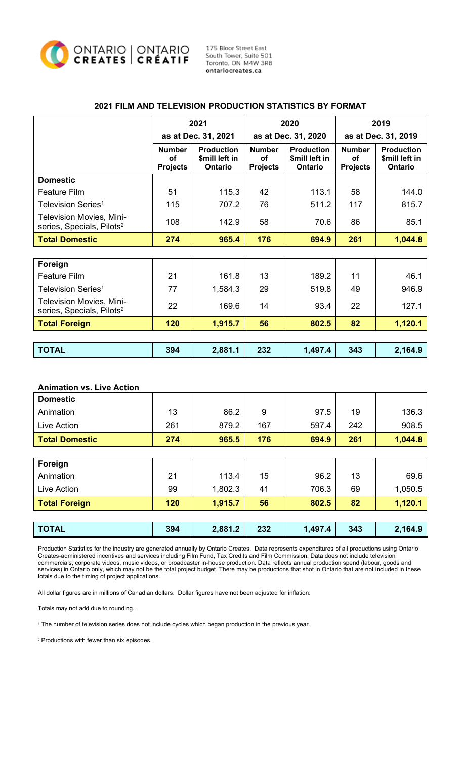

175 Bloor Street East South Tower, Suite 501 Toronto, ON M4W 3R8 ontariocreates.ca

|                                                                          | 2021<br>as at Dec. 31, 2021            |                                                       | 2020<br>as at Dec. 31, 2020            |                                                       | 2019<br>as at Dec. 31, 2019            |                                                |
|--------------------------------------------------------------------------|----------------------------------------|-------------------------------------------------------|----------------------------------------|-------------------------------------------------------|----------------------------------------|------------------------------------------------|
|                                                                          |                                        |                                                       |                                        |                                                       |                                        |                                                |
|                                                                          | <b>Number</b><br>Οf<br><b>Projects</b> | <b>Production</b><br>\$mill left in<br><b>Ontario</b> | <b>Number</b><br>Ωf<br><b>Projects</b> | <b>Production</b><br>\$mill left in<br><b>Ontario</b> | <b>Number</b><br>Οf<br><b>Projects</b> | <b>Production</b><br>\$mill left in<br>Ontario |
| <b>Domestic</b>                                                          |                                        |                                                       |                                        |                                                       |                                        |                                                |
| <b>Feature Film</b>                                                      | 51                                     | 115.3                                                 | 42                                     | 113.1                                                 | 58                                     | 144.0                                          |
| Television Series <sup>1</sup>                                           | 115                                    | 707.2                                                 | 76                                     | 511.2                                                 | 117                                    | 815.7                                          |
| <b>Television Movies, Mini-</b><br>series, Specials, Pilots <sup>2</sup> | 108                                    | 142.9                                                 | 58                                     | 70.6                                                  | 86                                     | 85.1                                           |
| <b>Total Domestic</b>                                                    | 274                                    | 965.4                                                 | 176                                    | 694.9                                                 | 261                                    | 1,044.8                                        |
|                                                                          |                                        |                                                       |                                        |                                                       |                                        |                                                |
| Foreign                                                                  |                                        |                                                       |                                        |                                                       |                                        |                                                |
| <b>Feature Film</b>                                                      | 21                                     | 161.8                                                 | 13                                     | 189.2                                                 | 11                                     | 46.1                                           |
| Television Series <sup>1</sup>                                           | 77                                     | 1,584.3                                               | 29                                     | 519.8                                                 | 49                                     | 946.9                                          |
| <b>Television Movies, Mini-</b><br>series, Specials, Pilots <sup>2</sup> | 22                                     | 169.6                                                 | 14                                     | 93.4                                                  | 22                                     | 127.1                                          |
| <b>Total Foreign</b>                                                     | 120                                    | 1,915.7                                               | 56                                     | 802.5                                                 | 82                                     | 1,120.1                                        |
|                                                                          |                                        |                                                       |                                        |                                                       |                                        |                                                |
| <b>TOTAL</b>                                                             | 394                                    | 2,881.1                                               | 232                                    | 1,497.4                                               | 343                                    | 2,164.9                                        |

### **2021 FILM AND TELEVISION PRODUCTION STATISTICS BY FORMAT**

# **Animation vs. Live Action Domestic** Animation | 13 | 86.2 | 9 | 97.5 | 19 | 136.3 Live Action | 261 | 879.2 | 167 | 597.4 | 242 | 908.5 **Total Domestic 274 965.5 176 694.9 261 1,044.8 Foreign** Animation | 21 | 113.4 | 15 | 96.2 | 13 | 69.6 Live Action 99 1,802.3 41 706.3 69 1,050.5 **Total Foreign 120 1,915.7 56 802.5 82 1,120.1 TOTAL 394 2,881.2 232 1,497.4 343 2,164.9**

Production Statistics for the industry are generated annually by Ontario Creates. Data represents expenditures of all productions using Ontario Creates-administered incentives and services including Film Fund, Tax Credits and Film Commission. Data does not include television commercials, corporate videos, music videos, or broadcaster in-house production. Data reflects annual production spend (labour, goods and services) in Ontario only, which may not be the total project budget. There may be productions that shot in Ontario that are not included in these totals due to the timing of project applications.

All dollar figures are in millions of Canadian dollars. Dollar figures have not been adjusted for inflation.

Totals may not add due to rounding.

<sup>1</sup> The number of television series does not include cycles which began production in the previous year.

<sup>2</sup> Productions with fewer than six episodes.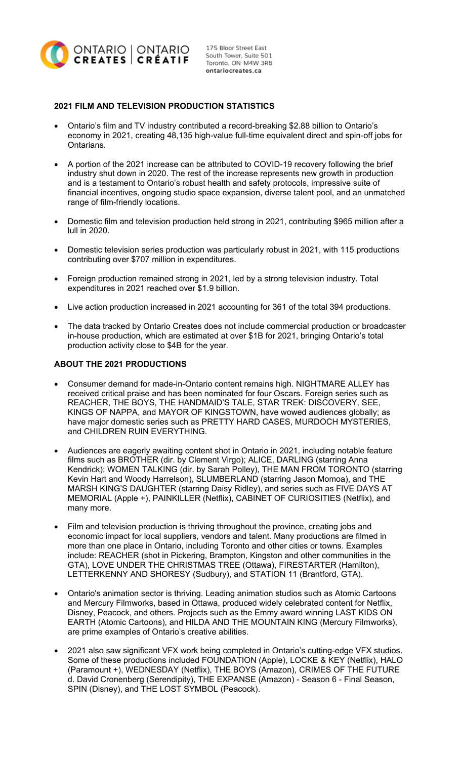

ontariocreates.ca

# **2021 FILM AND TELEVISION PRODUCTION STATISTICS**

- Ontario's film and TV industry contributed a record-breaking \$2.88 billion to Ontario's economy in 2021, creating 48,135 high-value full-time equivalent direct and spin-off jobs for Ontarians.
- A portion of the 2021 increase can be attributed to COVID-19 recovery following the brief industry shut down in 2020. The rest of the increase represents new growth in production and is a testament to Ontario's robust health and safety protocols, impressive suite of financial incentives, ongoing studio space expansion, diverse talent pool, and an unmatched range of film-friendly locations.
- Domestic film and television production held strong in 2021, contributing \$965 million after a lull in 2020.
- Domestic television series production was particularly robust in 2021, with 115 productions contributing over \$707 million in expenditures.
- Foreign production remained strong in 2021, led by a strong television industry. Total expenditures in 2021 reached over \$1.9 billion.
- Live action production increased in 2021 accounting for 361 of the total 394 productions.
- The data tracked by Ontario Creates does not include commercial production or broadcaster in-house production, which are estimated at over \$1B for 2021, bringing Ontario's total production activity close to \$4B for the year.

### **ABOUT THE 2021 PRODUCTIONS**

- Consumer demand for made-in-Ontario content remains high. NIGHTMARE ALLEY has received critical praise and has been nominated for four Oscars. Foreign series such as REACHER, THE BOYS, THE HANDMAID'S TALE, STAR TREK: DISCOVERY, SEE, KINGS OF NAPPA, and MAYOR OF KINGSTOWN, have wowed audiences globally; as have major domestic series such as PRETTY HARD CASES, MURDOCH MYSTERIES, and CHILDREN RUIN EVERYTHING.
- Audiences are eagerly awaiting content shot in Ontario in 2021, including notable feature films such as BROTHER (dir. by Clement Virgo); ALICE, DARLING (starring Anna Kendrick); WOMEN TALKING (dir. by Sarah Polley), THE MAN FROM TORONTO (starring Kevin Hart and Woody Harrelson), SLUMBERLAND (starring Jason Momoa), and THE MARSH KING'S DAUGHTER (starring Daisy Ridley), and series such as FIVE DAYS AT MEMORIAL (Apple +), PAINKILLER (Netflix), CABINET OF CURIOSITIES (Netflix), and many more.
- Film and television production is thriving throughout the province, creating jobs and economic impact for local suppliers, vendors and talent. Many productions are filmed in more than one place in Ontario, including Toronto and other cities or towns. Examples include: REACHER (shot in Pickering, Brampton, Kingston and other communities in the GTA), LOVE UNDER THE CHRISTMAS TREE (Ottawa), FIRESTARTER (Hamilton), LETTERKENNY AND SHORESY (Sudbury), and STATION 11 (Brantford, GTA).
- Ontario's animation sector is thriving. Leading animation studios such as Atomic Cartoons and Mercury Filmworks, based in Ottawa, produced widely celebrated content for Netflix, Disney, Peacock, and others. Projects such as the Emmy award winning LAST KIDS ON EARTH (Atomic Cartoons), and HILDA AND THE MOUNTAIN KING (Mercury Filmworks), are prime examples of Ontario's creative abilities.
- 2021 also saw significant VFX work being completed in Ontario's cutting-edge VFX studios. Some of these productions included FOUNDATION (Apple), LOCKE & KEY (Netflix), HALO (Paramount +), WEDNESDAY (Netflix), THE BOYS (Amazon), CRIMES OF THE FUTURE d. David Cronenberg (Serendipity), THE EXPANSE (Amazon) - Season 6 - Final Season, SPIN (Disney), and THE LOST SYMBOL (Peacock).